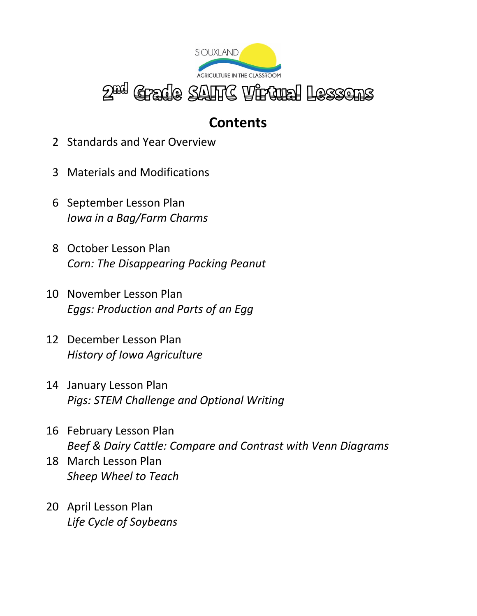

### **Contents**

- 2 Standards and Year Overview
- 3 Materials and Modifications
- 6 September Lesson Plan *Iowa in a Bag/Farm Charms*
- 8 October Lesson Plan *Corn: The Disappearing Packing Peanut*
- 10 November Lesson Plan *Eggs: Production and Parts of an Egg*
- 12 December Lesson Plan *History of Iowa Agriculture*
- 14 January Lesson Plan *Pigs: STEM Challenge and Optional Writing*
- 16 February Lesson Plan *Beef & Dairy Cattle: Compare and Contrast with Venn Diagrams*
- 18 March Lesson Plan *Sheep Wheel to Teach*
- 20 April Lesson Plan *Life Cycle of Soybeans*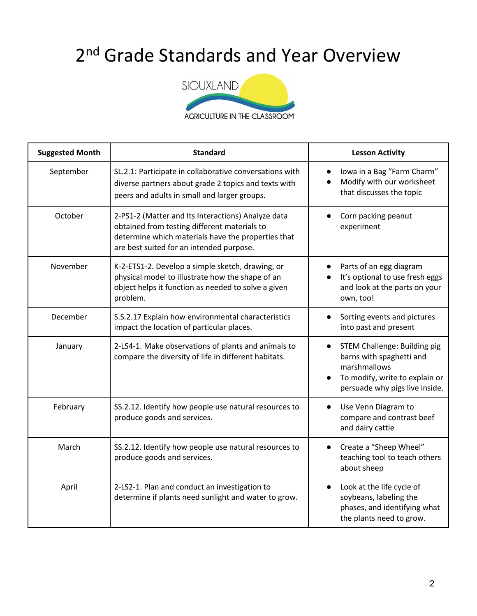## 2<sup>nd</sup> Grade Standards and Year Overview



| <b>Suggested Month</b> | <b>Standard</b>                                                                                                                                                                                      | <b>Lesson Activity</b>                                                                                                                                                        |
|------------------------|------------------------------------------------------------------------------------------------------------------------------------------------------------------------------------------------------|-------------------------------------------------------------------------------------------------------------------------------------------------------------------------------|
| September              | SL.2.1: Participate in collaborative conversations with<br>diverse partners about grade 2 topics and texts with<br>peers and adults in small and larger groups.                                      | lowa in a Bag "Farm Charm"<br>Modify with our worksheet<br>$\bullet$<br>that discusses the topic                                                                              |
| October                | 2-PS1-2 (Matter and Its Interactions) Analyze data<br>obtained from testing different materials to<br>determine which materials have the properties that<br>are best suited for an intended purpose. | Corn packing peanut<br>experiment                                                                                                                                             |
| November               | K-2-ETS1-2. Develop a simple sketch, drawing, or<br>physical model to illustrate how the shape of an<br>object helps it function as needed to solve a given<br>problem.                              | Parts of an egg diagram<br>It's optional to use fresh eggs<br>and look at the parts on your<br>own, too!                                                                      |
| December               | S.S.2.17 Explain how environmental characteristics<br>impact the location of particular places.                                                                                                      | Sorting events and pictures<br>into past and present                                                                                                                          |
| January                | 2-LS4-1. Make observations of plants and animals to<br>compare the diversity of life in different habitats.                                                                                          | <b>STEM Challenge: Building pig</b><br>$\bullet$<br>barns with spaghetti and<br>marshmallows<br>To modify, write to explain or<br>$\bullet$<br>persuade why pigs live inside. |
| February               | SS.2.12. Identify how people use natural resources to<br>produce goods and services.                                                                                                                 | Use Venn Diagram to<br>$\bullet$<br>compare and contrast beef<br>and dairy cattle                                                                                             |
| March                  | SS.2.12. Identify how people use natural resources to<br>produce goods and services.                                                                                                                 | Create a "Sheep Wheel"<br>teaching tool to teach others<br>about sheep                                                                                                        |
| April                  | 2-LS2-1. Plan and conduct an investigation to<br>determine if plants need sunlight and water to grow.                                                                                                | Look at the life cycle of<br>$\bullet$<br>soybeans, labeling the<br>phases, and identifying what<br>the plants need to grow.                                                  |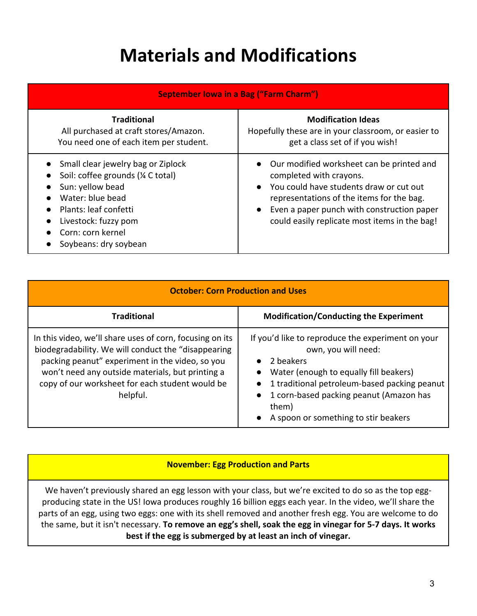### **Materials and Modifications**

| <b>September Iowa in a Bag ("Farm Charm")</b>                                                                                                                                                                   |                                                                                                                                                                                                                                                                                                    |
|-----------------------------------------------------------------------------------------------------------------------------------------------------------------------------------------------------------------|----------------------------------------------------------------------------------------------------------------------------------------------------------------------------------------------------------------------------------------------------------------------------------------------------|
| <b>Traditional</b><br>All purchased at craft stores/Amazon.<br>You need one of each item per student.                                                                                                           | <b>Modification Ideas</b><br>Hopefully these are in your classroom, or easier to<br>get a class set of if you wish!                                                                                                                                                                                |
| Small clear jewelry bag or Ziplock<br>Soil: coffee grounds (1/4 C total)<br>Sun: yellow bead<br>Water: blue bead<br>Plants: leaf confetti<br>Livestock: fuzzy pom<br>Corn: corn kernel<br>Soybeans: dry soybean | Our modified worksheet can be printed and<br>$\bullet$<br>completed with crayons.<br>You could have students draw or cut out<br>$\bullet$<br>representations of the items for the bag.<br>Even a paper punch with construction paper<br>$\bullet$<br>could easily replicate most items in the bag! |

| <b>October: Corn Production and Uses</b>                                                                                                                                                                                                                                              |                                                                                                                                                                                                                                                                                          |
|---------------------------------------------------------------------------------------------------------------------------------------------------------------------------------------------------------------------------------------------------------------------------------------|------------------------------------------------------------------------------------------------------------------------------------------------------------------------------------------------------------------------------------------------------------------------------------------|
| <b>Traditional</b>                                                                                                                                                                                                                                                                    | <b>Modification/Conducting the Experiment</b>                                                                                                                                                                                                                                            |
| In this video, we'll share uses of corn, focusing on its<br>biodegradability. We will conduct the "disappearing<br>packing peanut" experiment in the video, so you<br>won't need any outside materials, but printing a<br>copy of our worksheet for each student would be<br>helpful. | If you'd like to reproduce the experiment on your<br>own, you will need:<br>2 beakers<br>Water (enough to equally fill beakers)<br>1 traditional petroleum-based packing peanut<br>1 corn-based packing peanut (Amazon has<br>$\bullet$<br>them)<br>A spoon or something to stir beakers |

#### **November: Egg Production and Parts**

We haven't previously shared an egg lesson with your class, but we're excited to do so as the top eggproducing state in the US! Iowa produces roughly 16 billion eggs each year. In the video, we'll share the parts of an egg, using two eggs: one with its shell removed and another fresh egg. You are welcome to do the same, but it isn't necessary. **To remove an egg's shell, soak the egg in vinegar for 5-7 days. It works best if the egg is submerged by at least an inch of vinegar.**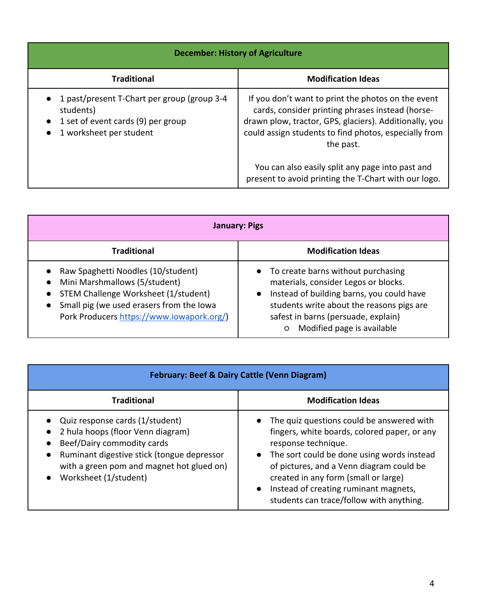| <b>December: History of Agriculture</b>                                                                                                                          |                                                                                                                                                                                                                                        |
|------------------------------------------------------------------------------------------------------------------------------------------------------------------|----------------------------------------------------------------------------------------------------------------------------------------------------------------------------------------------------------------------------------------|
| <b>Traditional</b>                                                                                                                                               | <b>Modification Ideas</b>                                                                                                                                                                                                              |
| 1 past/present T-Chart per group (group 3-4<br>$\bullet$<br>students)<br>1 set of event cards (9) per group<br>$\bullet$<br>1 worksheet per student<br>$\bullet$ | If you don't want to print the photos on the event<br>cards, consider printing phrases instead (horse-<br>drawn plow, tractor, GPS, glaciers). Additionally, you<br>could assign students to find photos, especially from<br>the past. |
|                                                                                                                                                                  | You can also easily split any page into past and<br>present to avoid printing the T-Chart with our logo.                                                                                                                               |

| <b>January: Pigs</b>                                                                                                                                                                                                                                     |                                                                                                                                                                                                                                                        |  |
|----------------------------------------------------------------------------------------------------------------------------------------------------------------------------------------------------------------------------------------------------------|--------------------------------------------------------------------------------------------------------------------------------------------------------------------------------------------------------------------------------------------------------|--|
| <b>Traditional</b>                                                                                                                                                                                                                                       | <b>Modification Ideas</b>                                                                                                                                                                                                                              |  |
| Raw Spaghetti Noodles (10/student)<br>$\bullet$<br>Mini Marshmallows (5/student)<br>$\bullet$<br>STEM Challenge Worksheet (1/student)<br>$\bullet$<br>Small pig (we used erasers from the Iowa<br>$\bullet$<br>Pork Producers https://www.iowapork.org/) | • To create barns without purchasing<br>materials, consider Legos or blocks.<br>Instead of building barns, you could have<br>students write about the reasons pigs are<br>safest in barns (persuade, explain)<br>Modified page is available<br>$\circ$ |  |

| <b>February: Beef &amp; Dairy Cattle (Venn Diagram)</b>                                                                                                                                                                                          |                                                                                                                                                                                                                                                                                                                                                          |  |
|--------------------------------------------------------------------------------------------------------------------------------------------------------------------------------------------------------------------------------------------------|----------------------------------------------------------------------------------------------------------------------------------------------------------------------------------------------------------------------------------------------------------------------------------------------------------------------------------------------------------|--|
| <b>Traditional</b>                                                                                                                                                                                                                               | <b>Modification Ideas</b>                                                                                                                                                                                                                                                                                                                                |  |
| Quiz response cards (1/student)<br>2 hula hoops (floor Venn diagram)<br>Beef/Dairy commodity cards<br>Ruminant digestive stick (tongue depressor<br>$\bullet$<br>with a green pom and magnet hot glued on)<br>Worksheet (1/student)<br>$\bullet$ | • The quiz questions could be answered with<br>fingers, white boards, colored paper, or any<br>response technique.<br>• The sort could be done using words instead<br>of pictures, and a Venn diagram could be<br>created in any form (small or large)<br>Instead of creating ruminant magnets,<br>$\bullet$<br>students can trace/follow with anything. |  |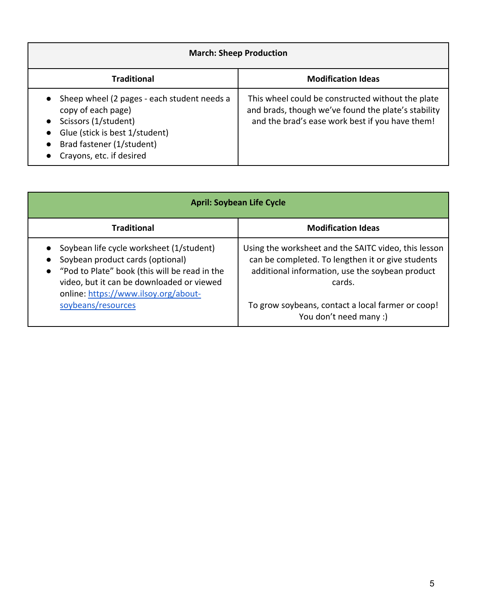| <b>March: Sheep Production</b>                                                                                                                                                                                                           |                                                                                                                                                             |
|------------------------------------------------------------------------------------------------------------------------------------------------------------------------------------------------------------------------------------------|-------------------------------------------------------------------------------------------------------------------------------------------------------------|
| <b>Traditional</b>                                                                                                                                                                                                                       | <b>Modification Ideas</b>                                                                                                                                   |
| Sheep wheel (2 pages - each student needs a<br>$\bullet$<br>copy of each page)<br>Scissors (1/student)<br>$\bullet$<br>Glue (stick is best 1/student)<br>$\bullet$<br>Brad fastener (1/student)<br>$\bullet$<br>Crayons, etc. if desired | This wheel could be constructed without the plate<br>and brads, though we've found the plate's stability<br>and the brad's ease work best if you have them! |

| <b>April: Soybean Life Cycle</b>                                                                                                                                                                                                               |                                                                                                                                                                        |
|------------------------------------------------------------------------------------------------------------------------------------------------------------------------------------------------------------------------------------------------|------------------------------------------------------------------------------------------------------------------------------------------------------------------------|
| <b>Traditional</b>                                                                                                                                                                                                                             | <b>Modification Ideas</b>                                                                                                                                              |
| Soybean life cycle worksheet (1/student)<br>$\bullet$<br>Soybean product cards (optional)<br>$\bullet$<br>• "Pod to Plate" book (this will be read in the<br>video, but it can be downloaded or viewed<br>online: https://www.ilsoy.org/about- | Using the worksheet and the SAITC video, this lesson<br>can be completed. To lengthen it or give students<br>additional information, use the soybean product<br>cards. |
| soybeans/resources                                                                                                                                                                                                                             | To grow soybeans, contact a local farmer or coop!<br>You don't need many :)                                                                                            |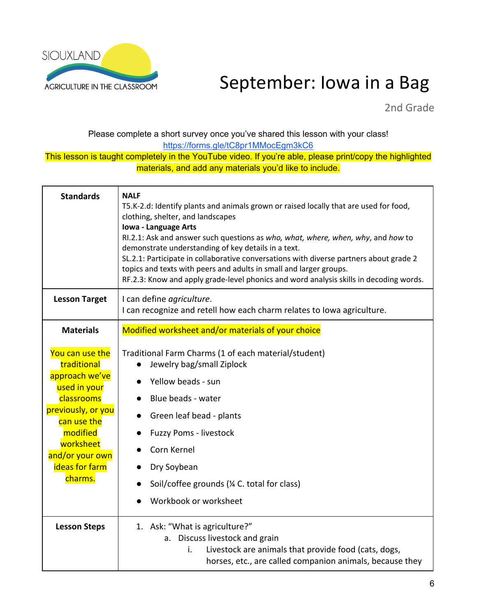

## AGRICULTURE IN THE CLASSROOM September: Iowa in a Bag

2nd Grade

Please complete a short survey once you've shared this lesson with your class! https://forms.gle/tC8pr1MMocEgm3kC6

| <b>Standards</b>                                                                                                                                                                             | <b>NALF</b><br>T5.K-2.d: Identify plants and animals grown or raised locally that are used for food,<br>clothing, shelter, and landscapes<br>Iowa - Language Arts<br>RI.2.1: Ask and answer such questions as who, what, where, when, why, and how to<br>demonstrate understanding of key details in a text.<br>SL.2.1: Participate in collaborative conversations with diverse partners about grade 2<br>topics and texts with peers and adults in small and larger groups.<br>RF.2.3: Know and apply grade-level phonics and word analysis skills in decoding words. |
|----------------------------------------------------------------------------------------------------------------------------------------------------------------------------------------------|------------------------------------------------------------------------------------------------------------------------------------------------------------------------------------------------------------------------------------------------------------------------------------------------------------------------------------------------------------------------------------------------------------------------------------------------------------------------------------------------------------------------------------------------------------------------|
| <b>Lesson Target</b>                                                                                                                                                                         | I can define agriculture.<br>I can recognize and retell how each charm relates to Iowa agriculture.                                                                                                                                                                                                                                                                                                                                                                                                                                                                    |
| <b>Materials</b>                                                                                                                                                                             | Modified worksheet and/or materials of your choice                                                                                                                                                                                                                                                                                                                                                                                                                                                                                                                     |
| You can use the<br>traditional<br>approach we've<br>used in your<br>classrooms<br>previously, or you<br>can use the<br>modified<br>worksheet<br>and/or your own<br>ideas for farm<br>charms. | Traditional Farm Charms (1 of each material/student)<br>Jewelry bag/small Ziplock<br>Yellow beads - sun<br>Blue beads - water<br>Green leaf bead - plants<br>$\bullet$<br>Fuzzy Poms - livestock<br>Corn Kernel<br>Dry Soybean<br>$\bullet$<br>Soil/coffee grounds (1/4 C. total for class)<br>Workbook or worksheet                                                                                                                                                                                                                                                   |
| <b>Lesson Steps</b>                                                                                                                                                                          | 1. Ask: "What is agriculture?"<br>a. Discuss livestock and grain<br>Livestock are animals that provide food (cats, dogs,<br>i.<br>horses, etc., are called companion animals, because they                                                                                                                                                                                                                                                                                                                                                                             |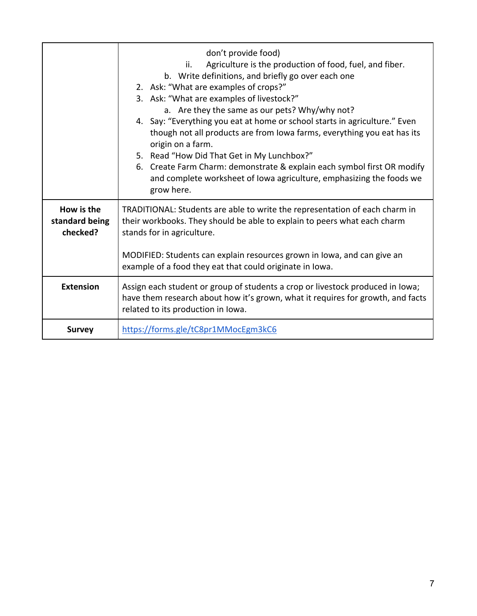|                                          | don't provide food)<br>Agriculture is the production of food, fuel, and fiber.<br>ii.<br>b. Write definitions, and briefly go over each one<br>2. Ask: "What are examples of crops?"<br>3. Ask: "What are examples of livestock?"<br>a. Are they the same as our pets? Why/why not?<br>4. Say: "Everything you eat at home or school starts in agriculture." Even<br>though not all products are from Iowa farms, everything you eat has its<br>origin on a farm.<br>5. Read "How Did That Get in My Lunchbox?"<br>6. Create Farm Charm: demonstrate & explain each symbol first OR modify<br>and complete worksheet of Iowa agriculture, emphasizing the foods we<br>grow here. |
|------------------------------------------|----------------------------------------------------------------------------------------------------------------------------------------------------------------------------------------------------------------------------------------------------------------------------------------------------------------------------------------------------------------------------------------------------------------------------------------------------------------------------------------------------------------------------------------------------------------------------------------------------------------------------------------------------------------------------------|
| How is the<br>standard being<br>checked? | TRADITIONAL: Students are able to write the representation of each charm in<br>their workbooks. They should be able to explain to peers what each charm<br>stands for in agriculture.<br>MODIFIED: Students can explain resources grown in Iowa, and can give an                                                                                                                                                                                                                                                                                                                                                                                                                 |
|                                          | example of a food they eat that could originate in Iowa.                                                                                                                                                                                                                                                                                                                                                                                                                                                                                                                                                                                                                         |
| <b>Extension</b>                         | Assign each student or group of students a crop or livestock produced in Iowa;<br>have them research about how it's grown, what it requires for growth, and facts<br>related to its production in Iowa.                                                                                                                                                                                                                                                                                                                                                                                                                                                                          |
| <b>Survey</b>                            | https://forms.gle/tC8pr1MMocEgm3kC6                                                                                                                                                                                                                                                                                                                                                                                                                                                                                                                                                                                                                                              |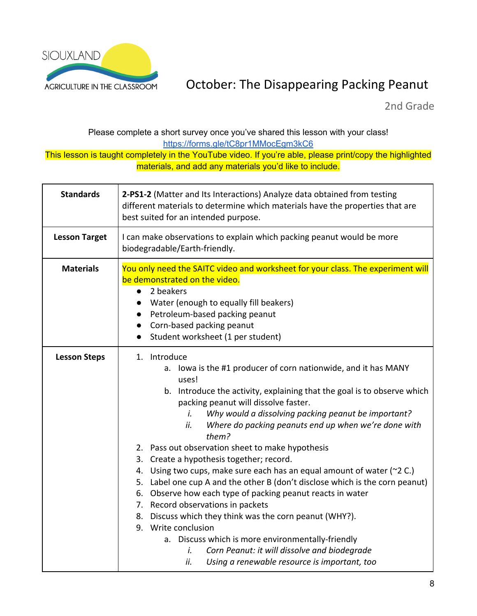

### ACRICULTURE IN THE CLASSROOM **October: The Disappearing Packing Peanut**

2nd Grade

### Please complete a short survey once you've shared this lesson with your class! https://forms.gle/tC8pr1MMocEgm3kC6

| <b>Standards</b>     | 2-PS1-2 (Matter and Its Interactions) Analyze data obtained from testing<br>different materials to determine which materials have the properties that are<br>best suited for an intended purpose.                                                                                                                                                                                                                                                                                                                                                                                                                                                                                                                                                                                                                                                                                                                                                                |
|----------------------|------------------------------------------------------------------------------------------------------------------------------------------------------------------------------------------------------------------------------------------------------------------------------------------------------------------------------------------------------------------------------------------------------------------------------------------------------------------------------------------------------------------------------------------------------------------------------------------------------------------------------------------------------------------------------------------------------------------------------------------------------------------------------------------------------------------------------------------------------------------------------------------------------------------------------------------------------------------|
| <b>Lesson Target</b> | I can make observations to explain which packing peanut would be more<br>biodegradable/Earth-friendly.                                                                                                                                                                                                                                                                                                                                                                                                                                                                                                                                                                                                                                                                                                                                                                                                                                                           |
| <b>Materials</b>     | You only need the SAITC video and worksheet for your class. The experiment will<br>be demonstrated on the video.<br>2 beakers<br>Water (enough to equally fill beakers)<br>Petroleum-based packing peanut<br>Corn-based packing peanut<br>$\bullet$<br>Student worksheet (1 per student)<br>$\bullet$                                                                                                                                                                                                                                                                                                                                                                                                                                                                                                                                                                                                                                                            |
| <b>Lesson Steps</b>  | 1. Introduce<br>a. Iowa is the #1 producer of corn nationwide, and it has MANY<br>uses!<br>b. Introduce the activity, explaining that the goal is to observe which<br>packing peanut will dissolve faster.<br>Why would a dissolving packing peanut be important?<br>i.<br>Where do packing peanuts end up when we're done with<br>ii.<br>them?<br>2. Pass out observation sheet to make hypothesis<br>3. Create a hypothesis together; record.<br>4. Using two cups, make sure each has an equal amount of water (~2 C.)<br>5. Label one cup A and the other B (don't disclose which is the corn peanut)<br>6. Observe how each type of packing peanut reacts in water<br>7. Record observations in packets<br>8. Discuss which they think was the corn peanut (WHY?).<br>9. Write conclusion<br>a. Discuss which is more environmentally-friendly<br>Corn Peanut: it will dissolve and biodegrade<br>i.<br>ii.<br>Using a renewable resource is important, too |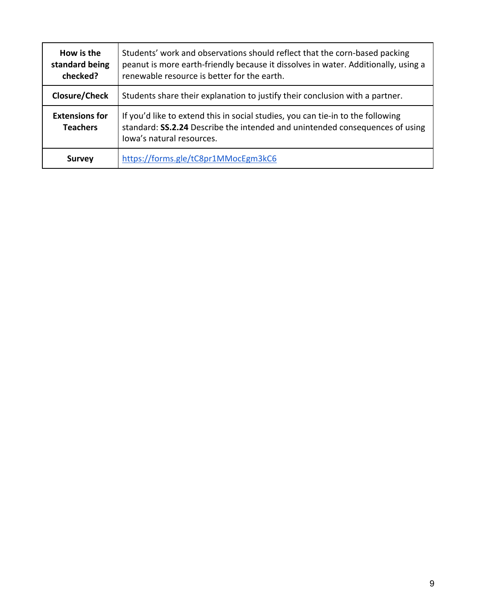| How is the<br>standard being<br>checked? | Students' work and observations should reflect that the corn-based packing<br>peanut is more earth-friendly because it dissolves in water. Additionally, using a<br>renewable resource is better for the earth. |
|------------------------------------------|-----------------------------------------------------------------------------------------------------------------------------------------------------------------------------------------------------------------|
| Closure/Check                            | Students share their explanation to justify their conclusion with a partner.                                                                                                                                    |
| <b>Extensions for</b><br><b>Teachers</b> | If you'd like to extend this in social studies, you can tie-in to the following<br>standard: SS.2.24 Describe the intended and unintended consequences of using<br>lowa's natural resources.                    |
| <b>Survey</b>                            | https://forms.gle/tC8pr1MMocEgm3kC6                                                                                                                                                                             |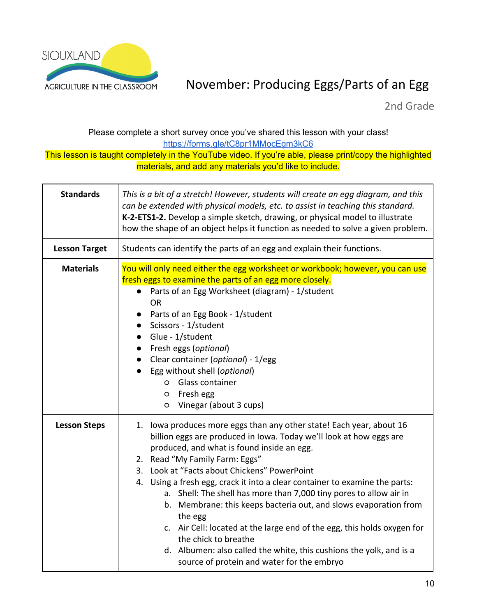

### ACRICULTURE IN THE CLASSROOM MOVember: Producing Eggs/Parts of an Egg

2nd Grade

### Please complete a short survey once you've shared this lesson with your class! https://forms.gle/tC8pr1MMocEgm3kC6

| <b>Standards</b>     | This is a bit of a stretch! However, students will create an egg diagram, and this<br>can be extended with physical models, etc. to assist in teaching this standard.<br>K-2-ETS1-2. Develop a simple sketch, drawing, or physical model to illustrate<br>how the shape of an object helps it function as needed to solve a given problem.                                                                                                                                                                                                                                                                                                                                                                                              |
|----------------------|-----------------------------------------------------------------------------------------------------------------------------------------------------------------------------------------------------------------------------------------------------------------------------------------------------------------------------------------------------------------------------------------------------------------------------------------------------------------------------------------------------------------------------------------------------------------------------------------------------------------------------------------------------------------------------------------------------------------------------------------|
| <b>Lesson Target</b> | Students can identify the parts of an egg and explain their functions.                                                                                                                                                                                                                                                                                                                                                                                                                                                                                                                                                                                                                                                                  |
| <b>Materials</b>     | You will only need either the egg worksheet or workbook; however, you can use<br>fresh eggs to examine the parts of an egg more closely.<br>Parts of an Egg Worksheet (diagram) - 1/student<br><b>OR</b><br>Parts of an Egg Book - 1/student<br>Scissors - 1/student<br>• Glue - 1/student<br>• Fresh eggs (optional)<br>• Clear container (optional) - 1/egg<br>Egg without shell (optional)<br>Glass container<br>$\circ$<br>Fresh egg<br>$\circ$<br>Vinegar (about 3 cups)<br>$\circ$                                                                                                                                                                                                                                                |
| <b>Lesson Steps</b>  | 1. Iowa produces more eggs than any other state! Each year, about 16<br>billion eggs are produced in Iowa. Today we'll look at how eggs are<br>produced, and what is found inside an egg.<br>2. Read "My Family Farm: Eggs"<br>3. Look at "Facts about Chickens" PowerPoint<br>4. Using a fresh egg, crack it into a clear container to examine the parts:<br>a. Shell: The shell has more than 7,000 tiny pores to allow air in<br>b. Membrane: this keeps bacteria out, and slows evaporation from<br>the egg<br>c. Air Cell: located at the large end of the egg, this holds oxygen for<br>the chick to breathe<br>d. Albumen: also called the white, this cushions the yolk, and is a<br>source of protein and water for the embryo |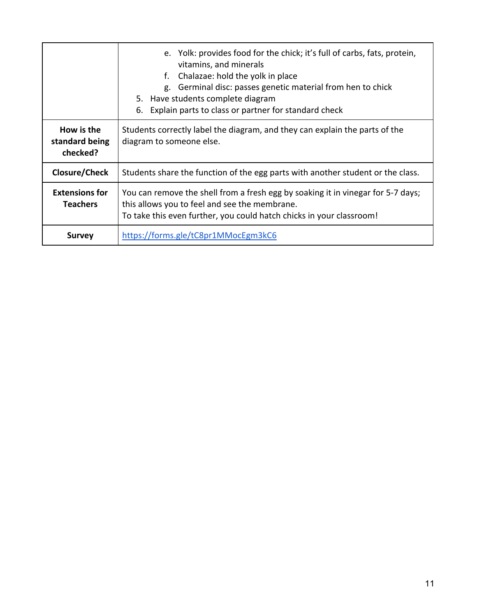|                                          | e. Yolk: provides food for the chick; it's full of carbs, fats, protein,<br>vitamins, and minerals<br>Chalazae: hold the yolk in place<br>f.<br>Germinal disc: passes genetic material from hen to chick<br>g.<br>5. Have students complete diagram<br>Explain parts to class or partner for standard check<br>6. |
|------------------------------------------|-------------------------------------------------------------------------------------------------------------------------------------------------------------------------------------------------------------------------------------------------------------------------------------------------------------------|
| How is the<br>standard being<br>checked? | Students correctly label the diagram, and they can explain the parts of the<br>diagram to someone else.                                                                                                                                                                                                           |
| Closure/Check                            | Students share the function of the egg parts with another student or the class.                                                                                                                                                                                                                                   |
| <b>Extensions for</b><br><b>Teachers</b> | You can remove the shell from a fresh egg by soaking it in vinegar for 5-7 days;<br>this allows you to feel and see the membrane.<br>To take this even further, you could hatch chicks in your classroom!                                                                                                         |
| <b>Survey</b>                            | https://forms.gle/tC8pr1MMocEgm3kC6                                                                                                                                                                                                                                                                               |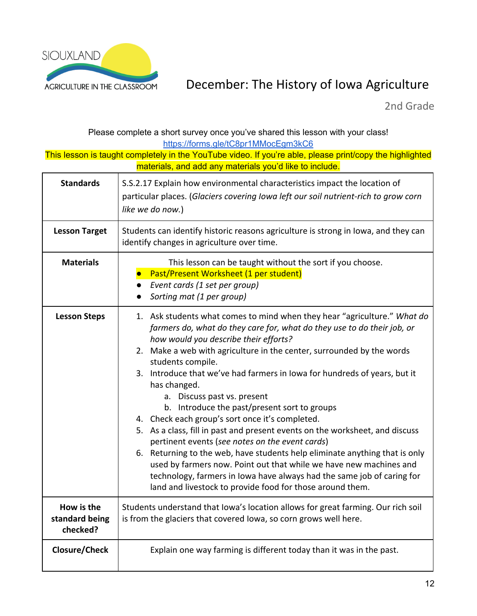

### AGRICULTURE IN THE CLASSROOM December: The History of Iowa Agriculture

2nd Grade

| Please complete a short survey once you've shared this lesson with your class!<br>https://forms.gle/tC8pr1MMocEgm3kC6 |                                                                                                                                                                                                                                                                                                                                                                                                                                                                                                                                                                                                                                                                                                                                                                                                                                                                                                                                                          |
|-----------------------------------------------------------------------------------------------------------------------|----------------------------------------------------------------------------------------------------------------------------------------------------------------------------------------------------------------------------------------------------------------------------------------------------------------------------------------------------------------------------------------------------------------------------------------------------------------------------------------------------------------------------------------------------------------------------------------------------------------------------------------------------------------------------------------------------------------------------------------------------------------------------------------------------------------------------------------------------------------------------------------------------------------------------------------------------------|
| This lesson is taught completely in the YouTube video. If you're able, please print/copy the highlighted              |                                                                                                                                                                                                                                                                                                                                                                                                                                                                                                                                                                                                                                                                                                                                                                                                                                                                                                                                                          |
|                                                                                                                       | materials, and add any materials you'd like to include.                                                                                                                                                                                                                                                                                                                                                                                                                                                                                                                                                                                                                                                                                                                                                                                                                                                                                                  |
| <b>Standards</b>                                                                                                      | S.S.2.17 Explain how environmental characteristics impact the location of<br>particular places. (Glaciers covering lowa left our soil nutrient-rich to grow corn<br>like we do now.)                                                                                                                                                                                                                                                                                                                                                                                                                                                                                                                                                                                                                                                                                                                                                                     |
| <b>Lesson Target</b>                                                                                                  | Students can identify historic reasons agriculture is strong in Iowa, and they can<br>identify changes in agriculture over time.                                                                                                                                                                                                                                                                                                                                                                                                                                                                                                                                                                                                                                                                                                                                                                                                                         |
| <b>Materials</b>                                                                                                      | This lesson can be taught without the sort if you choose.<br>Past/Present Worksheet (1 per student)<br>Event cards (1 set per group)<br>Sorting mat (1 per group)                                                                                                                                                                                                                                                                                                                                                                                                                                                                                                                                                                                                                                                                                                                                                                                        |
| <b>Lesson Steps</b>                                                                                                   | 1. Ask students what comes to mind when they hear "agriculture." What do<br>farmers do, what do they care for, what do they use to do their job, or<br>how would you describe their efforts?<br>2. Make a web with agriculture in the center, surrounded by the words<br>students compile.<br>3. Introduce that we've had farmers in lowa for hundreds of years, but it<br>has changed.<br>a. Discuss past vs. present<br>b. Introduce the past/present sort to groups<br>4. Check each group's sort once it's completed.<br>5. As a class, fill in past and present events on the worksheet, and discuss<br>pertinent events (see notes on the event cards)<br>6. Returning to the web, have students help eliminate anything that is only<br>used by farmers now. Point out that while we have new machines and<br>technology, farmers in Iowa have always had the same job of caring for<br>land and livestock to provide food for those around them. |
| How is the<br>standard being<br>checked?                                                                              | Students understand that Iowa's location allows for great farming. Our rich soil<br>is from the glaciers that covered Iowa, so corn grows well here.                                                                                                                                                                                                                                                                                                                                                                                                                                                                                                                                                                                                                                                                                                                                                                                                     |
| Closure/Check                                                                                                         | Explain one way farming is different today than it was in the past.                                                                                                                                                                                                                                                                                                                                                                                                                                                                                                                                                                                                                                                                                                                                                                                                                                                                                      |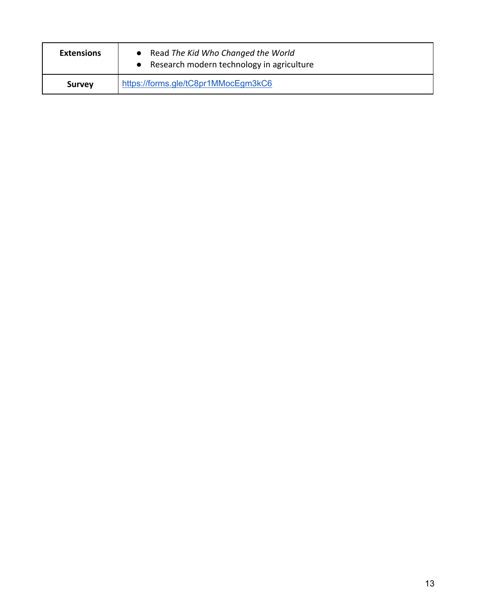| <b>Extensions</b> | Read The Kid Who Changed the World<br>Research modern technology in agriculture |
|-------------------|---------------------------------------------------------------------------------|
| <b>Survey</b>     | https://forms.gle/tC8pr1MMocEgm3kC6                                             |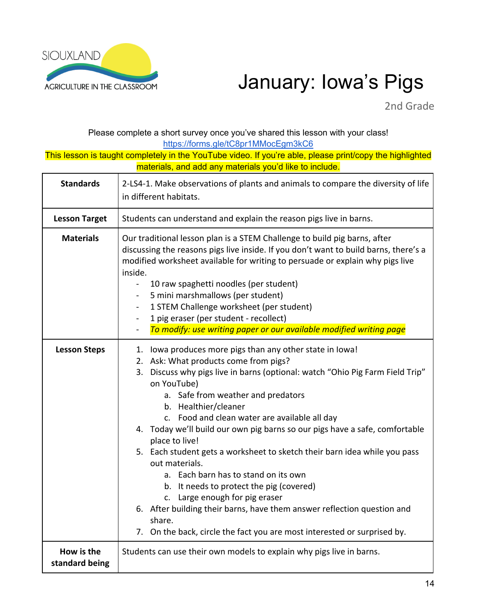

# AGRICULTURE IN THE CLASSROOM January: Iowa's Pigs

2nd Grade

Please complete a short survey once you've shared this lesson with your class! https://forms.gle/tC8pr1MMocEgm3kC6

| <b>Standards</b>             | 2-LS4-1. Make observations of plants and animals to compare the diversity of life<br>in different habitats.                                                                                                                                                                                                                                                                                                                                                                                                                                                                                                                                                                                                                                                                                             |
|------------------------------|---------------------------------------------------------------------------------------------------------------------------------------------------------------------------------------------------------------------------------------------------------------------------------------------------------------------------------------------------------------------------------------------------------------------------------------------------------------------------------------------------------------------------------------------------------------------------------------------------------------------------------------------------------------------------------------------------------------------------------------------------------------------------------------------------------|
| <b>Lesson Target</b>         | Students can understand and explain the reason pigs live in barns.                                                                                                                                                                                                                                                                                                                                                                                                                                                                                                                                                                                                                                                                                                                                      |
| <b>Materials</b>             | Our traditional lesson plan is a STEM Challenge to build pig barns, after<br>discussing the reasons pigs live inside. If you don't want to build barns, there's a<br>modified worksheet available for writing to persuade or explain why pigs live<br>inside.<br>10 raw spaghetti noodles (per student)<br>$\overline{\phantom{a}}$<br>5 mini marshmallows (per student)<br>1 STEM Challenge worksheet (per student)<br>1 pig eraser (per student - recollect)<br>To modify: use writing paper or our available modified writing page                                                                                                                                                                                                                                                                   |
| <b>Lesson Steps</b>          | 1. Iowa produces more pigs than any other state in Iowa!<br>2. Ask: What products come from pigs?<br>3. Discuss why pigs live in barns (optional: watch "Ohio Pig Farm Field Trip"<br>on YouTube)<br>a. Safe from weather and predators<br>b. Healthier/cleaner<br>c. Food and clean water are available all day<br>4. Today we'll build our own pig barns so our pigs have a safe, comfortable<br>place to live!<br>5. Each student gets a worksheet to sketch their barn idea while you pass<br>out materials.<br>a. Each barn has to stand on its own<br>b. It needs to protect the pig (covered)<br>c. Large enough for pig eraser<br>6. After building their barns, have them answer reflection question and<br>share.<br>7. On the back, circle the fact you are most interested or surprised by. |
| How is the<br>standard being | Students can use their own models to explain why pigs live in barns.                                                                                                                                                                                                                                                                                                                                                                                                                                                                                                                                                                                                                                                                                                                                    |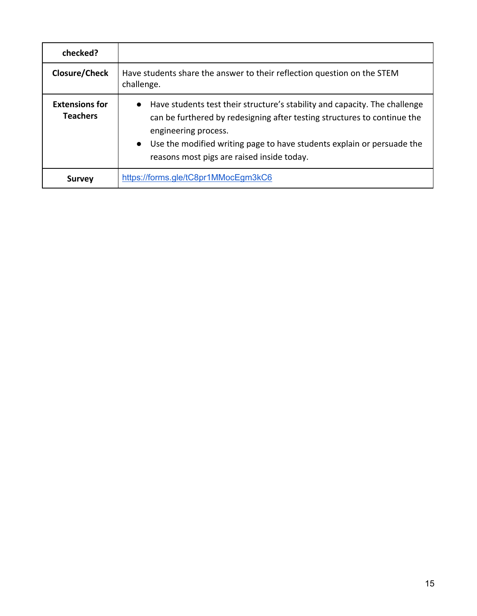| checked?                                 |                                                                                                                                                                                                                                                                                                                                  |
|------------------------------------------|----------------------------------------------------------------------------------------------------------------------------------------------------------------------------------------------------------------------------------------------------------------------------------------------------------------------------------|
| Closure/Check                            | Have students share the answer to their reflection question on the STEM<br>challenge.                                                                                                                                                                                                                                            |
| <b>Extensions for</b><br><b>Teachers</b> | Have students test their structure's stability and capacity. The challenge<br>$\bullet$<br>can be furthered by redesigning after testing structures to continue the<br>engineering process.<br>Use the modified writing page to have students explain or persuade the<br>$\bullet$<br>reasons most pigs are raised inside today. |
| <b>Survey</b>                            | https://forms.gle/tC8pr1MMocEgm3kC6                                                                                                                                                                                                                                                                                              |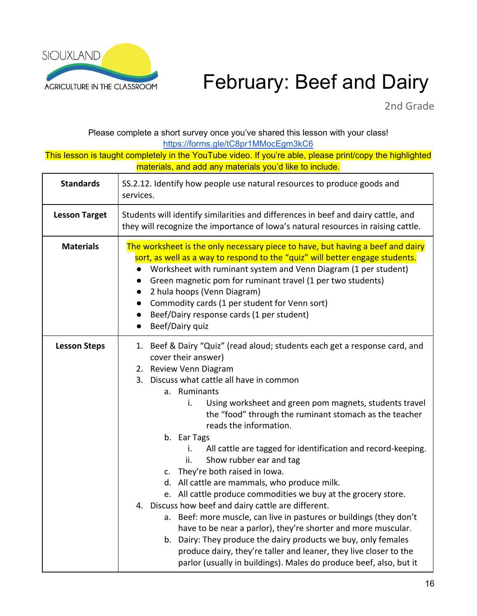

# AGRICULTURE IN THE CLASSROOM February: Beef and Dairy

2nd Grade

Please complete a short survey once you've shared this lesson with your class! https://forms.gle/tC8pr1MMocEgm3kC6

| <b>Standards</b>     | SS.2.12. Identify how people use natural resources to produce goods and<br>services.                                                                                                                                                                                                                                                                                                                                                                                                                                                                                                                                                                                                                                                                                                                                                                                                                                                                                                                                                 |
|----------------------|--------------------------------------------------------------------------------------------------------------------------------------------------------------------------------------------------------------------------------------------------------------------------------------------------------------------------------------------------------------------------------------------------------------------------------------------------------------------------------------------------------------------------------------------------------------------------------------------------------------------------------------------------------------------------------------------------------------------------------------------------------------------------------------------------------------------------------------------------------------------------------------------------------------------------------------------------------------------------------------------------------------------------------------|
| <b>Lesson Target</b> | Students will identify similarities and differences in beef and dairy cattle, and<br>they will recognize the importance of Iowa's natural resources in raising cattle.                                                                                                                                                                                                                                                                                                                                                                                                                                                                                                                                                                                                                                                                                                                                                                                                                                                               |
| <b>Materials</b>     | The worksheet is the only necessary piece to have, but having a beef and dairy<br>sort, as well as a way to respond to the "quiz" will better engage students.<br>Worksheet with ruminant system and Venn Diagram (1 per student)<br>Green magnetic pom for ruminant travel (1 per two students)<br>2 hula hoops (Venn Diagram)<br>Commodity cards (1 per student for Venn sort)<br>$\bullet$<br>Beef/Dairy response cards (1 per student)<br>$\bullet$<br>Beef/Dairy quiz<br>$\bullet$                                                                                                                                                                                                                                                                                                                                                                                                                                                                                                                                              |
| <b>Lesson Steps</b>  | 1. Beef & Dairy "Quiz" (read aloud; students each get a response card, and<br>cover their answer)<br>2. Review Venn Diagram<br>3. Discuss what cattle all have in common<br>a. Ruminants<br>i.<br>Using worksheet and green pom magnets, students travel<br>the "food" through the ruminant stomach as the teacher<br>reads the information.<br>b. Ear Tags<br>i.<br>All cattle are tagged for identification and record-keeping.<br>Show rubber ear and tag<br>ii.<br>c. They're both raised in lowa.<br>d. All cattle are mammals, who produce milk.<br>e. All cattle produce commodities we buy at the grocery store.<br>4. Discuss how beef and dairy cattle are different.<br>a. Beef: more muscle, can live in pastures or buildings (they don't<br>have to be near a parlor), they're shorter and more muscular.<br>b. Dairy: They produce the dairy products we buy, only females<br>produce dairy, they're taller and leaner, they live closer to the<br>parlor (usually in buildings). Males do produce beef, also, but it |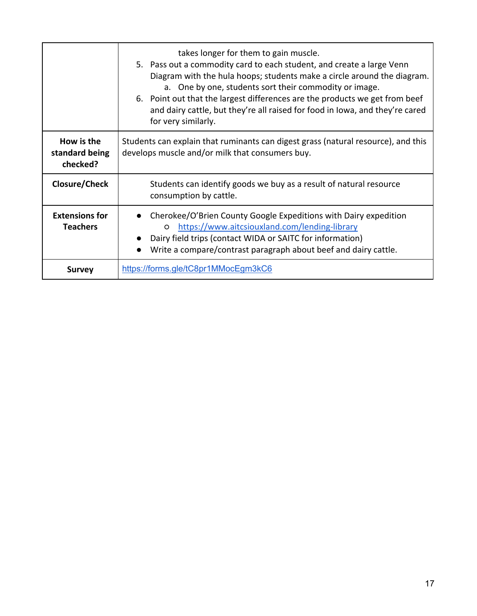|                                          | takes longer for them to gain muscle.<br>5. Pass out a commodity card to each student, and create a large Venn<br>Diagram with the hula hoops; students make a circle around the diagram.<br>a. One by one, students sort their commodity or image.<br>6. Point out that the largest differences are the products we get from beef<br>and dairy cattle, but they're all raised for food in Iowa, and they're cared<br>for very similarly. |
|------------------------------------------|-------------------------------------------------------------------------------------------------------------------------------------------------------------------------------------------------------------------------------------------------------------------------------------------------------------------------------------------------------------------------------------------------------------------------------------------|
| How is the<br>standard being<br>checked? | Students can explain that ruminants can digest grass (natural resource), and this<br>develops muscle and/or milk that consumers buy.                                                                                                                                                                                                                                                                                                      |
| Closure/Check                            | Students can identify goods we buy as a result of natural resource<br>consumption by cattle.                                                                                                                                                                                                                                                                                                                                              |
| <b>Extensions for</b><br><b>Teachers</b> | Cherokee/O'Brien County Google Expeditions with Dairy expedition<br>https://www.aitcsiouxland.com/lending-library<br>$\circ$<br>Dairy field trips (contact WIDA or SAITC for information)<br>Write a compare/contrast paragraph about beef and dairy cattle.                                                                                                                                                                              |
| <b>Survey</b>                            | https://forms.gle/tC8pr1MMocEgm3kC6                                                                                                                                                                                                                                                                                                                                                                                                       |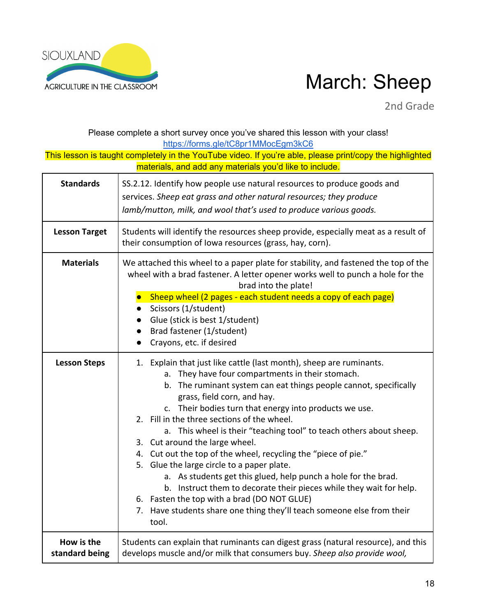

# AGRICULTURE IN THE CLASSROOM March: Sheep

2nd Grade

#### Please complete a short survey once you've shared this lesson with your class! https://forms.gle/tC8pr1MMocEgm3kC6 This lesson is taught completely in the YouTube video. If you're able, please print/copy the highlighted materials, and add any materials you'd like to include. **Standards** SS.2.12. Identify how people use natural resources to produce goods and services. *Sheep eat grass and other natural resources; they produce lamb/mutton, milk, and wool that's used to produce various goods.* **Lesson Target** Students will identify the resources sheep provide, especially meat as a result of their consumption of Iowa resources (grass, hay, corn). **Materials** We attached this wheel to a paper plate for stability, and fastened the top of the wheel with a brad fastener. A letter opener works well to punch a hole for the brad into the plate! ● Sheep wheel (2 pages - each student needs a copy of each page) ● Scissors (1/student) ● Glue (stick is best 1/student) ● Brad fastener (1/student) ● Crayons, etc. if desired **Lesson Steps** | 1. Explain that just like cattle (last month), sheep are ruminants. a. They have four compartments in their stomach. b. The ruminant system can eat things people cannot, specifically grass, field corn, and hay. c. Their bodies turn that energy into products we use. 2. Fill in the three sections of the wheel. a. This wheel is their "teaching tool" to teach others about sheep. 3. Cut around the large wheel. 4. Cut out the top of the wheel, recycling the "piece of pie." 5. Glue the large circle to a paper plate. a. As students get this glued, help punch a hole for the brad. b. Instruct them to decorate their pieces while they wait for help. 6. Fasten the top with a brad (DO NOT GLUE) 7. Have students share one thing they'll teach someone else from their tool. **How is the standard being**  Students can explain that ruminants can digest grass (natural resource), and this develops muscle and/or milk that consumers buy. *Sheep also provide wool,*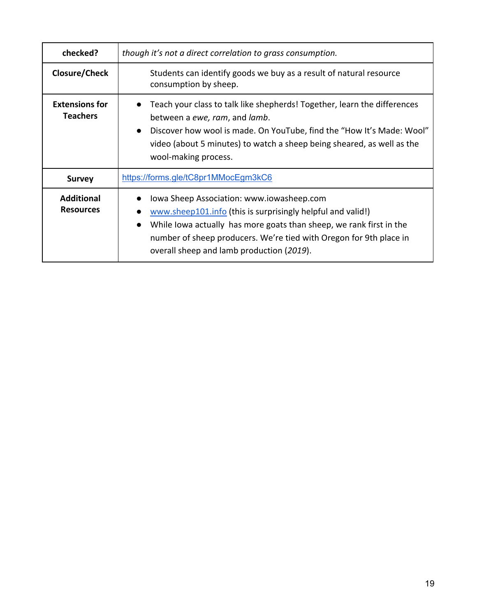| checked?                                 | though it's not a direct correlation to grass consumption.                                                                                                                                                                                                                                                      |
|------------------------------------------|-----------------------------------------------------------------------------------------------------------------------------------------------------------------------------------------------------------------------------------------------------------------------------------------------------------------|
| Closure/Check                            | Students can identify goods we buy as a result of natural resource<br>consumption by sheep.                                                                                                                                                                                                                     |
| <b>Extensions for</b><br><b>Teachers</b> | Teach your class to talk like shepherds! Together, learn the differences<br>between a ewe, ram, and lamb.<br>Discover how wool is made. On YouTube, find the "How It's Made: Wool"<br>$\bullet$<br>video (about 5 minutes) to watch a sheep being sheared, as well as the<br>wool-making process.               |
| <b>Survey</b>                            | https://forms.gle/tC8pr1MMocEgm3kC6                                                                                                                                                                                                                                                                             |
| <b>Additional</b><br><b>Resources</b>    | Iowa Sheep Association: www.iowasheep.com<br>www.sheep101.info (this is surprisingly helpful and valid!)<br>While Iowa actually has more goats than sheep, we rank first in the<br>$\bullet$<br>number of sheep producers. We're tied with Oregon for 9th place in<br>overall sheep and lamb production (2019). |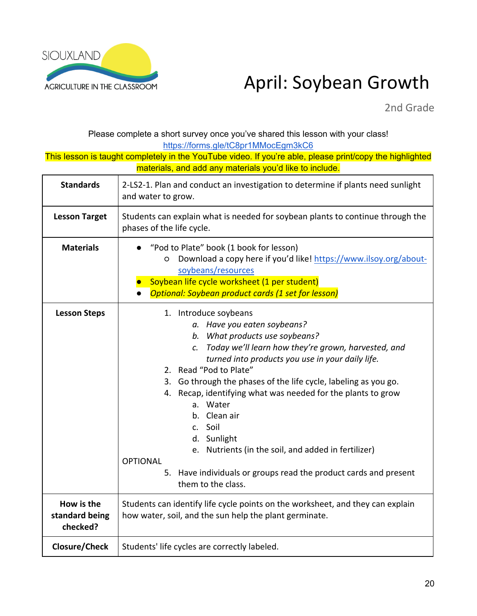

## April: Soybean Growth

2nd Grade

Please complete a short survey once you've shared this lesson with your class! https://forms.gle/tC8pr1MMocEgm3kC6

| <b>Standards</b>                         | 2-LS2-1. Plan and conduct an investigation to determine if plants need sunlight<br>and water to grow.                                                                                                                                                                                                                                                                                                                                                                                                                                                                                          |
|------------------------------------------|------------------------------------------------------------------------------------------------------------------------------------------------------------------------------------------------------------------------------------------------------------------------------------------------------------------------------------------------------------------------------------------------------------------------------------------------------------------------------------------------------------------------------------------------------------------------------------------------|
| <b>Lesson Target</b>                     | Students can explain what is needed for soybean plants to continue through the<br>phases of the life cycle.                                                                                                                                                                                                                                                                                                                                                                                                                                                                                    |
| <b>Materials</b>                         | "Pod to Plate" book (1 book for lesson)<br>Download a copy here if you'd like! https://www.ilsoy.org/about-<br>O<br>soybeans/resources<br>Soybean life cycle worksheet (1 per student)<br>Optional: Soybean product cards (1 set for lesson)                                                                                                                                                                                                                                                                                                                                                   |
| <b>Lesson Steps</b>                      | 1. Introduce soybeans<br>a. Have you eaten soybeans?<br>b. What products use soybeans?<br>c. Today we'll learn how they're grown, harvested, and<br>turned into products you use in your daily life.<br>2. Read "Pod to Plate"<br>Go through the phases of the life cycle, labeling as you go.<br>3.<br>4. Recap, identifying what was needed for the plants to grow<br>a. Water<br>b. Clean air<br>c. Soil<br>d. Sunlight<br>e. Nutrients (in the soil, and added in fertilizer)<br><b>OPTIONAL</b><br>5. Have individuals or groups read the product cards and present<br>them to the class. |
| How is the<br>standard being<br>checked? | Students can identify life cycle points on the worksheet, and they can explain<br>how water, soil, and the sun help the plant germinate.                                                                                                                                                                                                                                                                                                                                                                                                                                                       |
| <b>Closure/Check</b>                     | Students' life cycles are correctly labeled.                                                                                                                                                                                                                                                                                                                                                                                                                                                                                                                                                   |